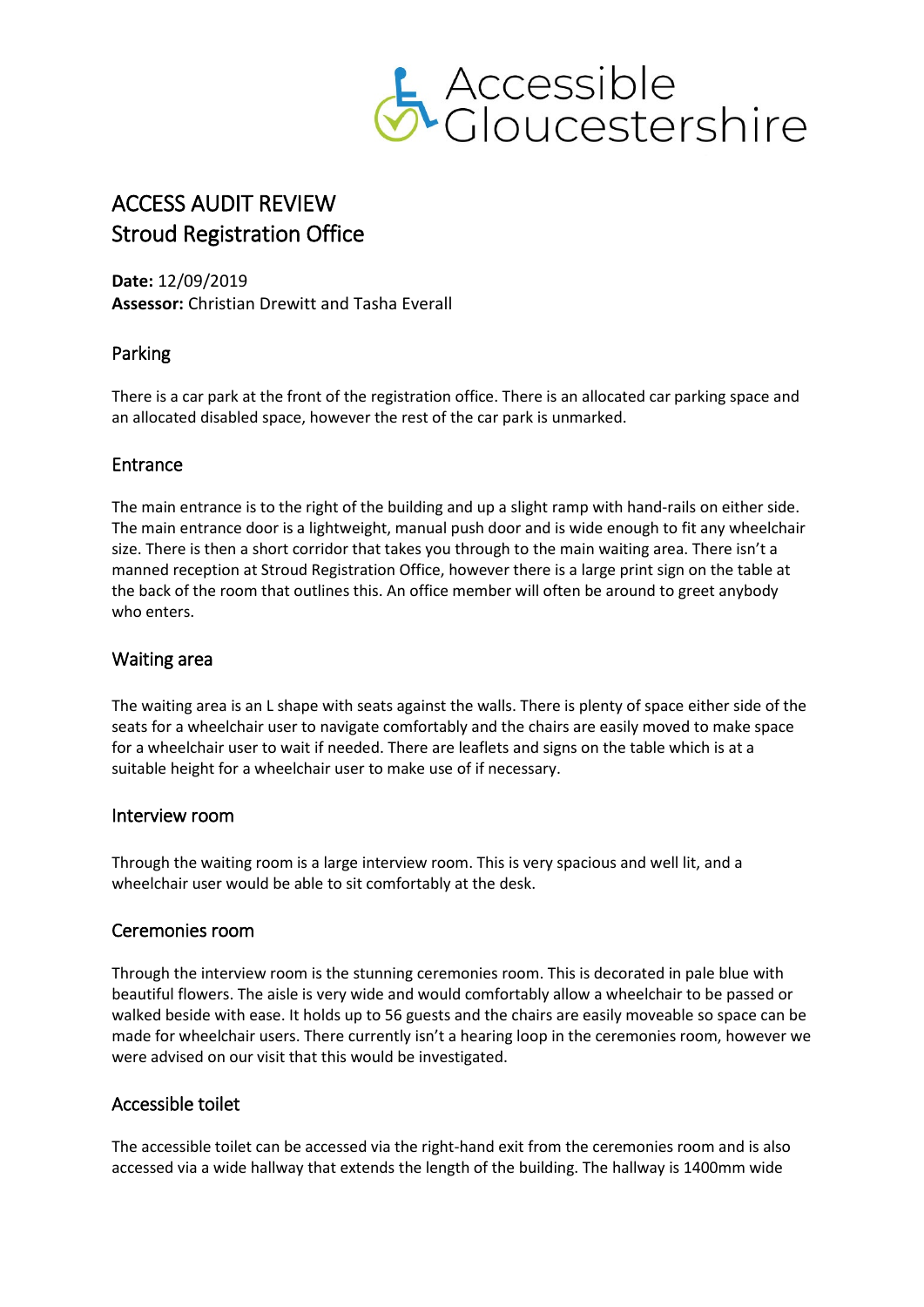

# ACCESS AUDIT REVIEW Stroud Registration Office

**Date:** 12/09/2019 **Assessor:** Christian Drewitt and Tasha Everall

# Parking

There is a car park at the front of the registration office. There is an allocated car parking space and an allocated disabled space, however the rest of the car park is unmarked.

# Entrance

The main entrance is to the right of the building and up a slight ramp with hand-rails on either side. The main entrance door is a lightweight, manual push door and is wide enough to fit any wheelchair size. There is then a short corridor that takes you through to the main waiting area. There isn't a manned reception at Stroud Registration Office, however there is a large print sign on the table at the back of the room that outlines this. An office member will often be around to greet anybody who enters.

# Waiting area

The waiting area is an L shape with seats against the walls. There is plenty of space either side of the seats for a wheelchair user to navigate comfortably and the chairs are easily moved to make space for a wheelchair user to wait if needed. There are leaflets and signs on the table which is at a suitable height for a wheelchair user to make use of if necessary.

# Interview room

Through the waiting room is a large interview room. This is very spacious and well lit, and a wheelchair user would be able to sit comfortably at the desk.

# Ceremonies room

Through the interview room is the stunning ceremonies room. This is decorated in pale blue with beautiful flowers. The aisle is very wide and would comfortably allow a wheelchair to be passed or walked beside with ease. It holds up to 56 guests and the chairs are easily moveable so space can be made for wheelchair users. There currently isn't a hearing loop in the ceremonies room, however we were advised on our visit that this would be investigated.

# Accessible toilet

The accessible toilet can be accessed via the right-hand exit from the ceremonies room and is also accessed via a wide hallway that extends the length of the building. The hallway is 1400mm wide